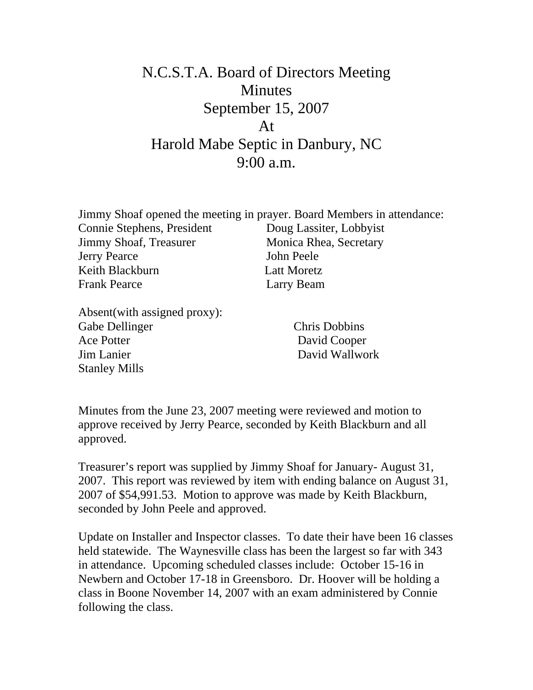## N.C.S.T.A. Board of Directors Meeting **Minutes** September 15, 2007 At Harold Mabe Septic in Danbury, NC 9:00 a.m.

| Jimmy Shoaf opened the meeting in prayer. Board Members in attendance: |                         |
|------------------------------------------------------------------------|-------------------------|
| Connie Stephens, President                                             | Doug Lassiter, Lobbyist |
| Jimmy Shoaf, Treasurer                                                 | Monica Rhea, Secretary  |
| <b>Jerry Pearce</b>                                                    | John Peele              |
| Keith Blackburn                                                        | <b>Latt Moretz</b>      |
| <b>Frank Pearce</b>                                                    | Larry Beam              |
|                                                                        |                         |

Absent(with assigned proxy): Gabe Dellinger Chris Dobbins Ace Potter David Cooper Jim Lanier David Wallwork Stanley Mills

Minutes from the June 23, 2007 meeting were reviewed and motion to approve received by Jerry Pearce, seconded by Keith Blackburn and all approved.

Treasurer's report was supplied by Jimmy Shoaf for January- August 31, 2007. This report was reviewed by item with ending balance on August 31, 2007 of \$54,991.53. Motion to approve was made by Keith Blackburn, seconded by John Peele and approved.

Update on Installer and Inspector classes. To date their have been 16 classes held statewide. The Waynesville class has been the largest so far with 343 in attendance. Upcoming scheduled classes include: October 15-16 in Newbern and October 17-18 in Greensboro. Dr. Hoover will be holding a class in Boone November 14, 2007 with an exam administered by Connie following the class.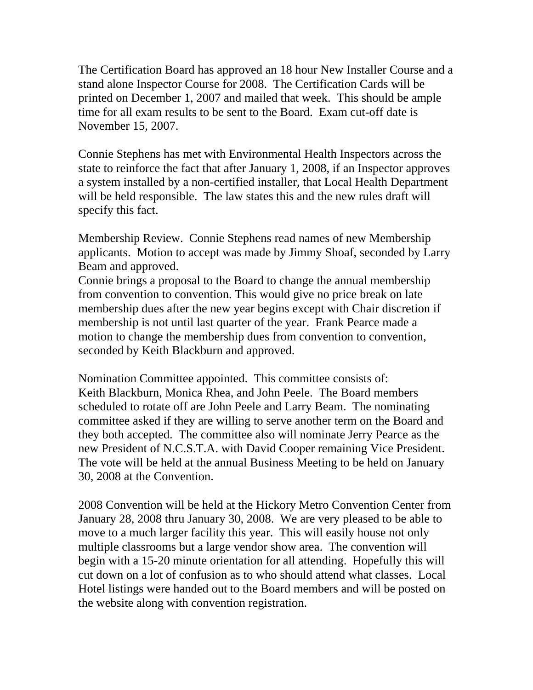The Certification Board has approved an 18 hour New Installer Course and a stand alone Inspector Course for 2008. The Certification Cards will be printed on December 1, 2007 and mailed that week. This should be ample time for all exam results to be sent to the Board. Exam cut-off date is November 15, 2007.

Connie Stephens has met with Environmental Health Inspectors across the state to reinforce the fact that after January 1, 2008, if an Inspector approves a system installed by a non-certified installer, that Local Health Department will be held responsible. The law states this and the new rules draft will specify this fact.

Membership Review. Connie Stephens read names of new Membership applicants. Motion to accept was made by Jimmy Shoaf, seconded by Larry Beam and approved.

Connie brings a proposal to the Board to change the annual membership from convention to convention. This would give no price break on late membership dues after the new year begins except with Chair discretion if membership is not until last quarter of the year. Frank Pearce made a motion to change the membership dues from convention to convention, seconded by Keith Blackburn and approved.

Nomination Committee appointed. This committee consists of: Keith Blackburn, Monica Rhea, and John Peele. The Board members scheduled to rotate off are John Peele and Larry Beam. The nominating committee asked if they are willing to serve another term on the Board and they both accepted. The committee also will nominate Jerry Pearce as the new President of N.C.S.T.A. with David Cooper remaining Vice President. The vote will be held at the annual Business Meeting to be held on January 30, 2008 at the Convention.

2008 Convention will be held at the Hickory Metro Convention Center from January 28, 2008 thru January 30, 2008. We are very pleased to be able to move to a much larger facility this year. This will easily house not only multiple classrooms but a large vendor show area. The convention will begin with a 15-20 minute orientation for all attending. Hopefully this will cut down on a lot of confusion as to who should attend what classes. Local Hotel listings were handed out to the Board members and will be posted on the website along with convention registration.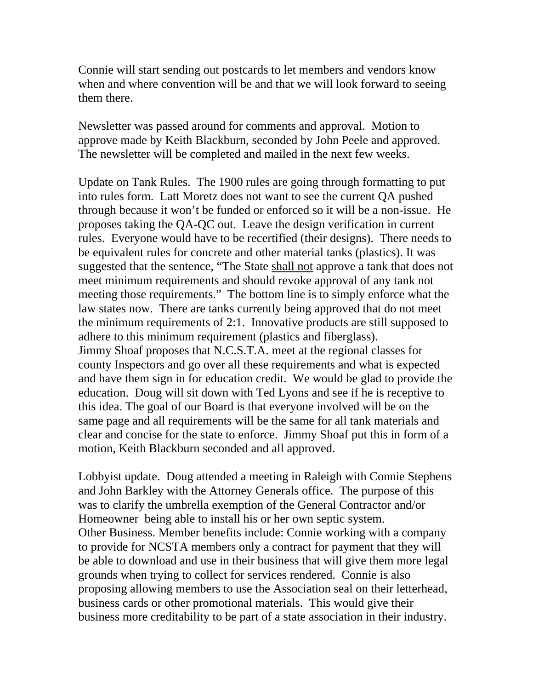Connie will start sending out postcards to let members and vendors know when and where convention will be and that we will look forward to seeing them there.

Newsletter was passed around for comments and approval. Motion to approve made by Keith Blackburn, seconded by John Peele and approved. The newsletter will be completed and mailed in the next few weeks.

Update on Tank Rules. The 1900 rules are going through formatting to put into rules form. Latt Moretz does not want to see the current QA pushed through because it won't be funded or enforced so it will be a non-issue. He proposes taking the QA-QC out. Leave the design verification in current rules. Everyone would have to be recertified (their designs). There needs to be equivalent rules for concrete and other material tanks (plastics). It was suggested that the sentence, "The State shall not approve a tank that does not meet minimum requirements and should revoke approval of any tank not meeting those requirements." The bottom line is to simply enforce what the law states now. There are tanks currently being approved that do not meet the minimum requirements of 2:1. Innovative products are still supposed to adhere to this minimum requirement (plastics and fiberglass). Jimmy Shoaf proposes that N.C.S.T.A. meet at the regional classes for county Inspectors and go over all these requirements and what is expected and have them sign in for education credit. We would be glad to provide the education. Doug will sit down with Ted Lyons and see if he is receptive to this idea. The goal of our Board is that everyone involved will be on the same page and all requirements will be the same for all tank materials and clear and concise for the state to enforce. Jimmy Shoaf put this in form of a motion, Keith Blackburn seconded and all approved.

Lobbyist update. Doug attended a meeting in Raleigh with Connie Stephens and John Barkley with the Attorney Generals office. The purpose of this was to clarify the umbrella exemption of the General Contractor and/or Homeowner being able to install his or her own septic system. Other Business. Member benefits include: Connie working with a company to provide for NCSTA members only a contract for payment that they will be able to download and use in their business that will give them more legal grounds when trying to collect for services rendered. Connie is also proposing allowing members to use the Association seal on their letterhead, business cards or other promotional materials. This would give their business more creditability to be part of a state association in their industry.